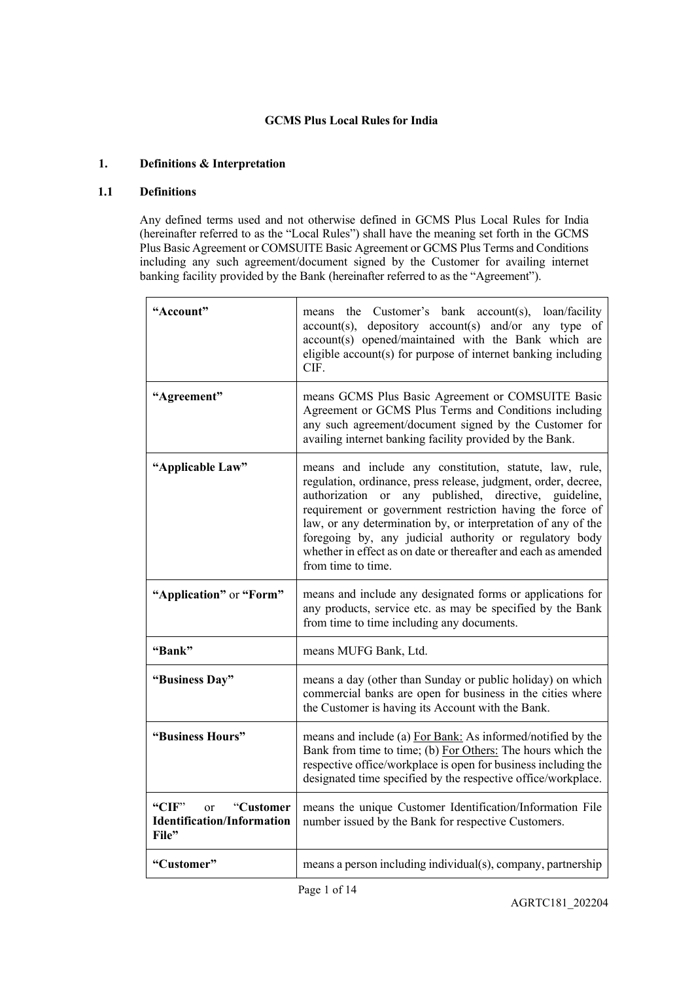# **GCMS Plus Local Rules for India**

### **1. Definitions & Interpretation**

#### **1.1 Definitions**

Any defined terms used and not otherwise defined in GCMS Plus Local Rules for India (hereinafter referred to as the "Local Rules") shall have the meaning set forth in the GCMS Plus Basic Agreement or COMSUITE Basic Agreement or GCMS Plus Terms and Conditions including any such agreement/document signed by the Customer for availing internet banking facility provided by the Bank (hereinafter referred to as the "Agreement").

| "Account"                                                                         | means the Customer's bank account(s), loan/facility<br>depository account(s) and/or any type of<br>$account(s)$ ,<br>account(s) opened/maintained with the Bank which are<br>eligible account(s) for purpose of internet banking including<br>CIF.                                                                                                                                                                                                                     |
|-----------------------------------------------------------------------------------|------------------------------------------------------------------------------------------------------------------------------------------------------------------------------------------------------------------------------------------------------------------------------------------------------------------------------------------------------------------------------------------------------------------------------------------------------------------------|
| "Agreement"                                                                       | means GCMS Plus Basic Agreement or COMSUITE Basic<br>Agreement or GCMS Plus Terms and Conditions including<br>any such agreement/document signed by the Customer for<br>availing internet banking facility provided by the Bank.                                                                                                                                                                                                                                       |
| "Applicable Law"                                                                  | means and include any constitution, statute, law, rule,<br>regulation, ordinance, press release, judgment, order, decree,<br>authorization or<br>any published, directive, guideline,<br>requirement or government restriction having the force of<br>law, or any determination by, or interpretation of any of the<br>foregoing by, any judicial authority or regulatory body<br>whether in effect as on date or thereafter and each as amended<br>from time to time. |
| "Application" or "Form"                                                           | means and include any designated forms or applications for<br>any products, service etc. as may be specified by the Bank<br>from time to time including any documents.                                                                                                                                                                                                                                                                                                 |
| "Bank"                                                                            | means MUFG Bank, Ltd.                                                                                                                                                                                                                                                                                                                                                                                                                                                  |
| "Business Day"                                                                    | means a day (other than Sunday or public holiday) on which<br>commercial banks are open for business in the cities where<br>the Customer is having its Account with the Bank.                                                                                                                                                                                                                                                                                          |
| "Business Hours"                                                                  | means and include (a) For Bank: As informed/notified by the<br>Bank from time to time; (b) For Others: The hours which the<br>respective office/workplace is open for business including the<br>designated time specified by the respective office/workplace.                                                                                                                                                                                                          |
| "CIF"<br>"Customer<br><sub>or</sub><br><b>Identification/Information</b><br>File" | means the unique Customer Identification/Information File<br>number issued by the Bank for respective Customers.                                                                                                                                                                                                                                                                                                                                                       |
| "Customer"                                                                        | means a person including individual(s), company, partnership                                                                                                                                                                                                                                                                                                                                                                                                           |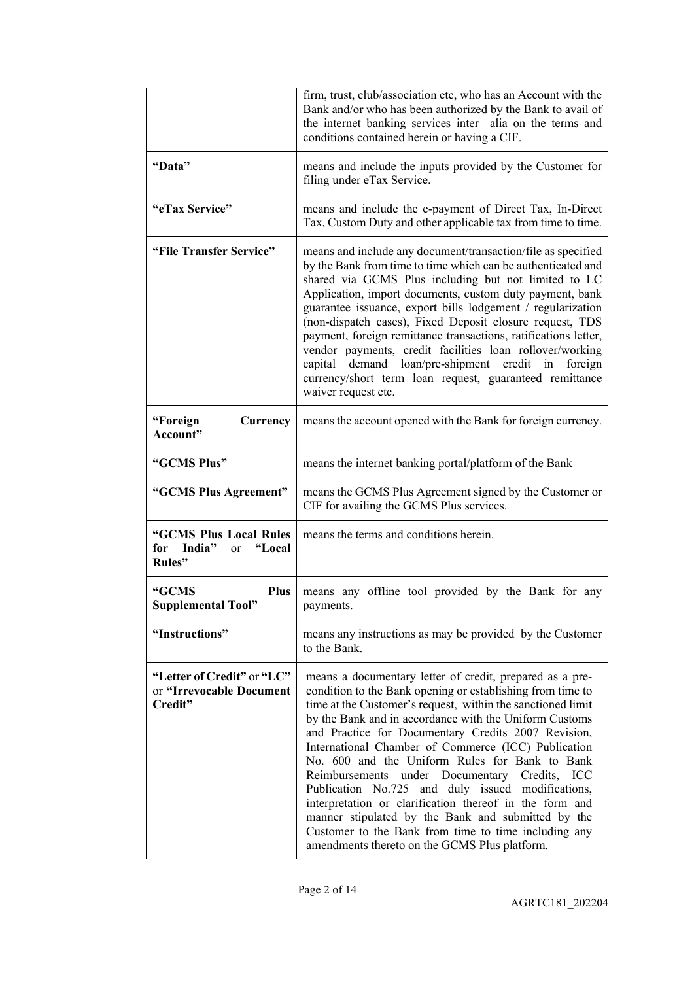|                                                                              | firm, trust, club/association etc, who has an Account with the<br>Bank and/or who has been authorized by the Bank to avail of<br>the internet banking services inter alia on the terms and<br>conditions contained herein or having a CIF.                                                                                                                                                                                                                                                                                                                                                                                                                                                                                                      |
|------------------------------------------------------------------------------|-------------------------------------------------------------------------------------------------------------------------------------------------------------------------------------------------------------------------------------------------------------------------------------------------------------------------------------------------------------------------------------------------------------------------------------------------------------------------------------------------------------------------------------------------------------------------------------------------------------------------------------------------------------------------------------------------------------------------------------------------|
| "Data"                                                                       | means and include the inputs provided by the Customer for<br>filing under eTax Service.                                                                                                                                                                                                                                                                                                                                                                                                                                                                                                                                                                                                                                                         |
| "eTax Service"                                                               | means and include the e-payment of Direct Tax, In-Direct<br>Tax, Custom Duty and other applicable tax from time to time.                                                                                                                                                                                                                                                                                                                                                                                                                                                                                                                                                                                                                        |
| "File Transfer Service"                                                      | means and include any document/transaction/file as specified<br>by the Bank from time to time which can be authenticated and<br>shared via GCMS Plus including but not limited to LC<br>Application, import documents, custom duty payment, bank<br>guarantee issuance, export bills lodgement / regularization<br>(non-dispatch cases), Fixed Deposit closure request, TDS<br>payment, foreign remittance transactions, ratifications letter,<br>vendor payments, credit facilities loan rollover/working<br>demand loan/pre-shipment credit in<br>capital<br>foreign<br>currency/short term loan request, guaranteed remittance<br>waiver request etc.                                                                                        |
| "Foreign<br>Currency<br>Account"                                             | means the account opened with the Bank for foreign currency.                                                                                                                                                                                                                                                                                                                                                                                                                                                                                                                                                                                                                                                                                    |
| "GCMS Plus"                                                                  | means the internet banking portal/platform of the Bank                                                                                                                                                                                                                                                                                                                                                                                                                                                                                                                                                                                                                                                                                          |
| "GCMS Plus Agreement"                                                        | means the GCMS Plus Agreement signed by the Customer or<br>CIF for availing the GCMS Plus services.                                                                                                                                                                                                                                                                                                                                                                                                                                                                                                                                                                                                                                             |
| "GCMS Plus Local Rules<br>India"<br>"Local<br>for<br><sub>or</sub><br>Rules" | means the terms and conditions herein.                                                                                                                                                                                                                                                                                                                                                                                                                                                                                                                                                                                                                                                                                                          |
| <b>Plus</b><br>"GCMS<br><b>Supplemental Tool"</b>                            | means any offline tool provided by the Bank for any<br>payments.                                                                                                                                                                                                                                                                                                                                                                                                                                                                                                                                                                                                                                                                                |
| "Instructions"                                                               | means any instructions as may be provided by the Customer<br>to the Bank.                                                                                                                                                                                                                                                                                                                                                                                                                                                                                                                                                                                                                                                                       |
| "Letter of Credit" or "LC"<br>or "Irrevocable Document<br>Credit"            | means a documentary letter of credit, prepared as a pre-<br>condition to the Bank opening or establishing from time to<br>time at the Customer's request, within the sanctioned limit<br>by the Bank and in accordance with the Uniform Customs<br>and Practice for Documentary Credits 2007 Revision,<br>International Chamber of Commerce (ICC) Publication<br>No. 600 and the Uniform Rules for Bank to Bank<br>Reimbursements under Documentary Credits, ICC<br>Publication No.725 and duly issued modifications,<br>interpretation or clarification thereof in the form and<br>manner stipulated by the Bank and submitted by the<br>Customer to the Bank from time to time including any<br>amendments thereto on the GCMS Plus platform. |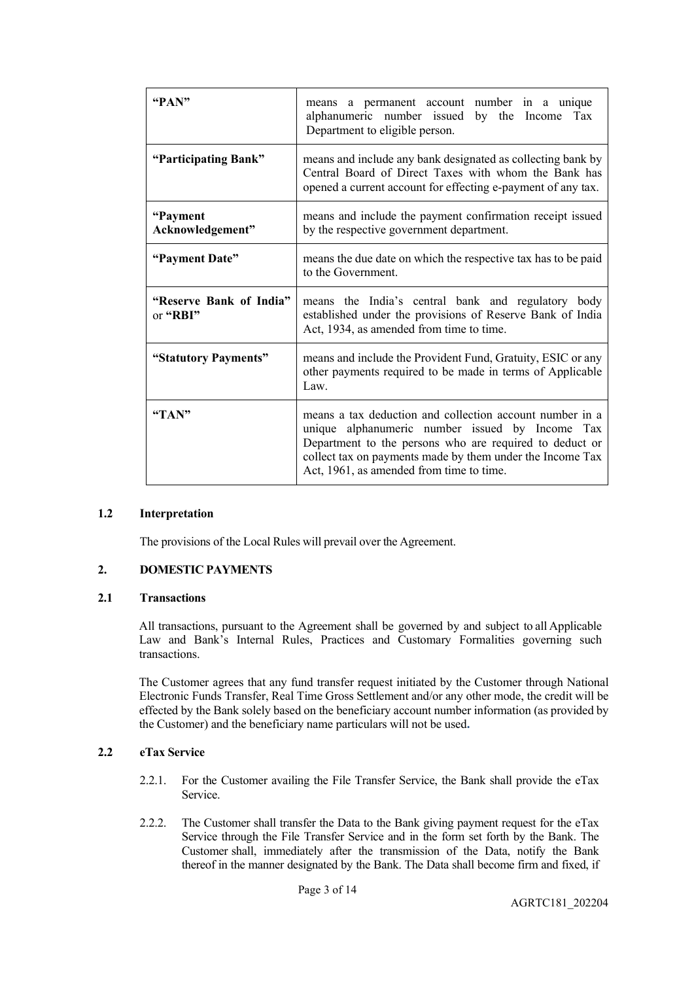| "PAN"                               | means a permanent account number in a unique<br>alphanumeric number issued by the Income<br>Tax<br>Department to eligible person.                                                                                                                                               |
|-------------------------------------|---------------------------------------------------------------------------------------------------------------------------------------------------------------------------------------------------------------------------------------------------------------------------------|
| "Participating Bank"                | means and include any bank designated as collecting bank by<br>Central Board of Direct Taxes with whom the Bank has<br>opened a current account for effecting e-payment of any tax.                                                                                             |
| "Payment"<br>Acknowledgement"       | means and include the payment confirmation receipt issued<br>by the respective government department.                                                                                                                                                                           |
| "Payment Date"                      | means the due date on which the respective tax has to be paid<br>to the Government.                                                                                                                                                                                             |
| "Reserve Bank of India"<br>or "RBI" | means the India's central bank and regulatory body<br>established under the provisions of Reserve Bank of India<br>Act, 1934, as amended from time to time.                                                                                                                     |
| "Statutory Payments"                | means and include the Provident Fund, Gratuity, ESIC or any<br>other payments required to be made in terms of Applicable<br>Law.                                                                                                                                                |
| "TAN"                               | means a tax deduction and collection account number in a<br>unique alphanumeric number issued by Income Tax<br>Department to the persons who are required to deduct or<br>collect tax on payments made by them under the Income Tax<br>Act, 1961, as amended from time to time. |

#### **1.2 Interpretation**

The provisions of the Local Rules will prevail over the Agreement.

#### **2. DOMESTIC PAYMENTS**

#### **2.1 Transactions**

All transactions, pursuant to the Agreement shall be governed by and subject to all Applicable Law and Bank's Internal Rules, Practices and Customary Formalities governing such transactions.

The Customer agrees that any fund transfer request initiated by the Customer through National Electronic Funds Transfer, Real Time Gross Settlement and/or any other mode, the credit will be effected by the Bank solely based on the beneficiary account number information (as provided by the Customer) and the beneficiary name particulars will not be used**.**

#### **2.2 eTax Service**

- 2.2.1. For the Customer availing the File Transfer Service, the Bank shall provide the eTax Service.
- 2.2.2. The Customer shall transfer the Data to the Bank giving payment request for the eTax Service through the File Transfer Service and in the form set forth by the Bank. The Customer shall, immediately after the transmission of the Data, notify the Bank thereof in the manner designated by the Bank. The Data shall become firm and fixed, if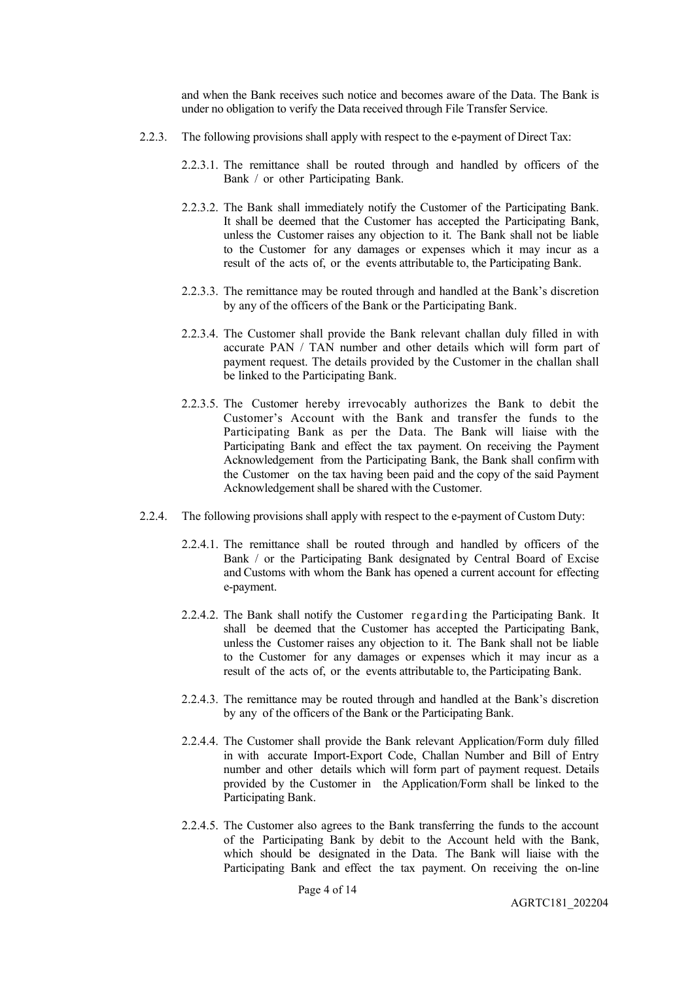and when the Bank receives such notice and becomes aware of the Data. The Bank is under no obligation to verify the Data received through File Transfer Service.

- 2.2.3. The following provisions shall apply with respect to the e-payment of Direct Tax:
	- 2.2.3.1. The remittance shall be routed through and handled by officers of the Bank / or other Participating Bank.
	- 2.2.3.2. The Bank shall immediately notify the Customer of the Participating Bank. It shall be deemed that the Customer has accepted the Participating Bank, unless the Customer raises any objection to it. The Bank shall not be liable to the Customer for any damages or expenses which it may incur as a result of the acts of, or the events attributable to, the Participating Bank.
	- 2.2.3.3. The remittance may be routed through and handled at the Bank's discretion by any of the officers of the Bank or the Participating Bank.
	- 2.2.3.4. The Customer shall provide the Bank relevant challan duly filled in with accurate PAN / TAN number and other details which will form part of payment request. The details provided by the Customer in the challan shall be linked to the Participating Bank.
	- 2.2.3.5. The Customer hereby irrevocably authorizes the Bank to debit the Customer's Account with the Bank and transfer the funds to the Participating Bank as per the Data. The Bank will liaise with the Participating Bank and effect the tax payment. On receiving the Payment Acknowledgement from the Participating Bank, the Bank shall confirm with the Customer on the tax having been paid and the copy of the said Payment Acknowledgement shall be shared with the Customer.
- 2.2.4. The following provisions shall apply with respect to the e-payment of Custom Duty:
	- 2.2.4.1. The remittance shall be routed through and handled by officers of the Bank / or the Participating Bank designated by Central Board of Excise and Customs with whom the Bank has opened a current account for effecting e-payment.
	- 2.2.4.2. The Bank shall notify the Customer regarding the Participating Bank. It shall be deemed that the Customer has accepted the Participating Bank, unless the Customer raises any objection to it. The Bank shall not be liable to the Customer for any damages or expenses which it may incur as a result of the acts of, or the events attributable to, the Participating Bank.
	- 2.2.4.3. The remittance may be routed through and handled at the Bank's discretion by any of the officers of the Bank or the Participating Bank.
	- 2.2.4.4. The Customer shall provide the Bank relevant Application/Form duly filled in with accurate Import-Export Code, Challan Number and Bill of Entry number and other details which will form part of payment request. Details provided by the Customer in the Application/Form shall be linked to the Participating Bank.
	- 2.2.4.5. The Customer also agrees to the Bank transferring the funds to the account of the Participating Bank by debit to the Account held with the Bank, which should be designated in the Data. The Bank will liaise with the Participating Bank and effect the tax payment. On receiving the on-line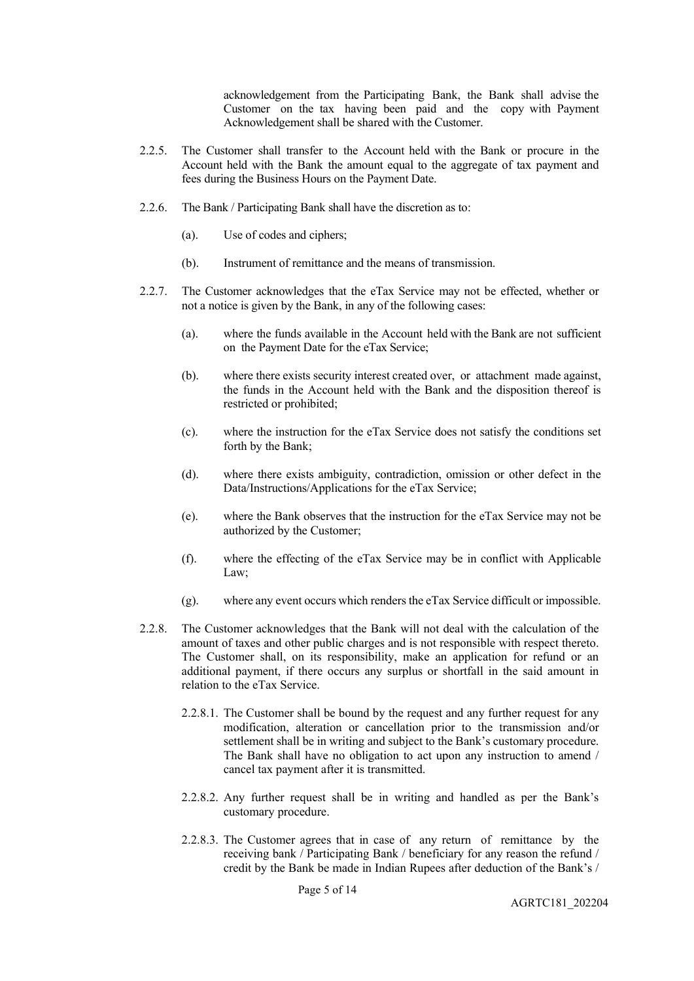acknowledgement from the Participating Bank, the Bank shall advise the Customer on the tax having been paid and the copy with Payment Acknowledgement shall be shared with the Customer.

- 2.2.5. The Customer shall transfer to the Account held with the Bank or procure in the Account held with the Bank the amount equal to the aggregate of tax payment and fees during the Business Hours on the Payment Date.
- 2.2.6. The Bank / Participating Bank shall have the discretion as to:
	- (a). Use of codes and ciphers;
	- (b). Instrument of remittance and the means of transmission.
- 2.2.7. The Customer acknowledges that the eTax Service may not be effected, whether or not a notice is given by the Bank, in any of the following cases:
	- (a). where the funds available in the Account held with the Bank are not sufficient on the Payment Date for the eTax Service;
	- (b). where there exists security interest created over, or attachment made against, the funds in the Account held with the Bank and the disposition thereof is restricted or prohibited;
	- (c). where the instruction for the eTax Service does not satisfy the conditions set forth by the Bank;
	- (d). where there exists ambiguity, contradiction, omission or other defect in the Data/Instructions/Applications for the eTax Service;
	- (e). where the Bank observes that the instruction for the eTax Service may not be authorized by the Customer;
	- (f). where the effecting of the eTax Service may be in conflict with Applicable Law;
	- (g). where any event occurs which renders the eTax Service difficult or impossible.
- 2.2.8. The Customer acknowledges that the Bank will not deal with the calculation of the amount of taxes and other public charges and is not responsible with respect thereto. The Customer shall, on its responsibility, make an application for refund or an additional payment, if there occurs any surplus or shortfall in the said amount in relation to the eTax Service.
	- 2.2.8.1. The Customer shall be bound by the request and any further request for any modification, alteration or cancellation prior to the transmission and/or settlement shall be in writing and subject to the Bank's customary procedure. The Bank shall have no obligation to act upon any instruction to amend / cancel tax payment after it is transmitted.
	- 2.2.8.2. Any further request shall be in writing and handled as per the Bank's customary procedure.
	- 2.2.8.3. The Customer agrees that in case of any return of remittance by the receiving bank / Participating Bank / beneficiary for any reason the refund / credit by the Bank be made in Indian Rupees after deduction of the Bank's /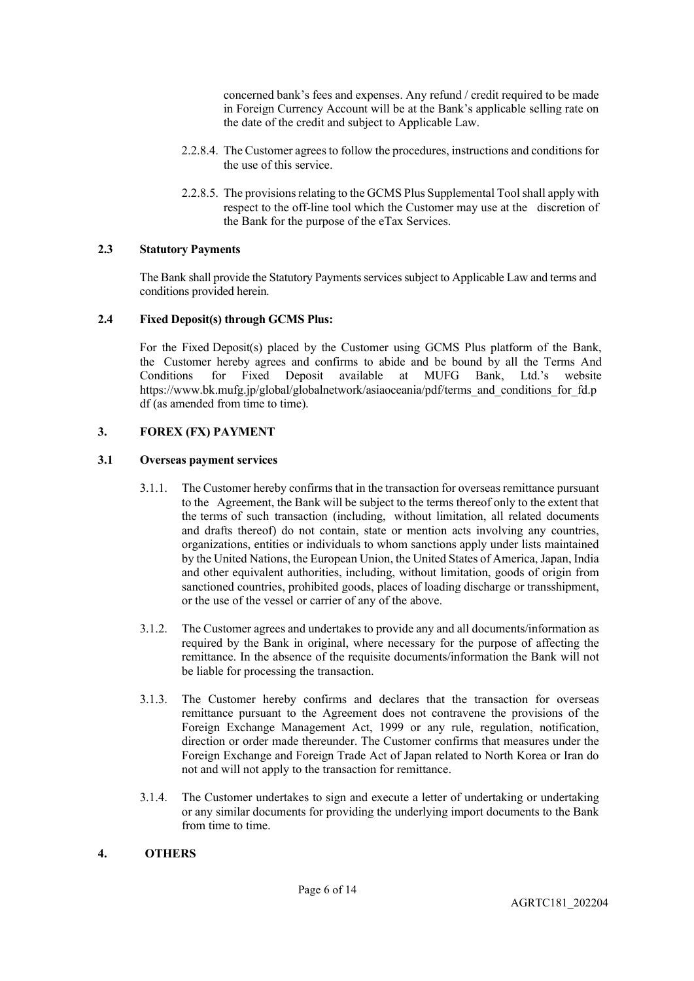concerned bank's fees and expenses. Any refund / credit required to be made in Foreign Currency Account will be at the Bank's applicable selling rate on the date of the credit and subject to Applicable Law.

- 2.2.8.4. The Customer agrees to follow the procedures, instructions and conditions for the use of this service.
- 2.2.8.5. The provisions relating to the GCMS Plus Supplemental Tool shall apply with respect to the off-line tool which the Customer may use at the discretion of the Bank for the purpose of the eTax Services.

### **2.3 Statutory Payments**

The Bank shall provide the Statutory Paymentsservices subject to Applicable Law and terms and conditions provided herein.

### **2.4 Fixed Deposit(s) through GCMS Plus:**

For the Fixed Deposit(s) placed by the Customer using GCMS Plus platform of the Bank, the Customer hereby agrees and confirms to abide and be bound by all the Terms And Conditions for Fixed Deposit available at MUFG Bank, Ltd.'s website Conditions for Fixed Deposit available at MUFG Bank, Ltd.'s website https://www.bk.mufg.jp/global/globalnetwork/asiaoceania/pdf/terms and conditions for fd.p [df](https://www.bk.mufg.jp/global/globalnetwork/asiaoceania/pdf/terms_and_conditions_for_fd.pdf) (as amended from time to time).

### **3. FOREX (FX) PAYMENT**

### **3.1 Overseas payment services**

- 3.1.1. The Customer hereby confirms that in the transaction for overseas remittance pursuant to the Agreement, the Bank will be subject to the terms thereof only to the extent that the terms of such transaction (including, without limitation, all related documents and drafts thereof) do not contain, state or mention acts involving any countries, organizations, entities or individuals to whom sanctions apply under lists maintained by the United Nations, the European Union, the United States of America, Japan, India and other equivalent authorities, including, without limitation, goods of origin from sanctioned countries, prohibited goods, places of loading discharge or transshipment, or the use of the vessel or carrier of any of the above.
- 3.1.2. The Customer agrees and undertakes to provide any and all documents/information as required by the Bank in original, where necessary for the purpose of affecting the remittance. In the absence of the requisite documents/information the Bank will not be liable for processing the transaction.
- 3.1.3. The Customer hereby confirms and declares that the transaction for overseas remittance pursuant to the Agreement does not contravene the provisions of the Foreign Exchange Management Act, 1999 or any rule, regulation, notification, direction or order made thereunder. The Customer confirms that measures under the Foreign Exchange and Foreign Trade Act of Japan related to North Korea or Iran do not and will not apply to the transaction for remittance.
- 3.1.4. The Customer undertakes to sign and execute a letter of undertaking or undertaking or any similar documents for providing the underlying import documents to the Bank from time to time.

# **4. OTHERS**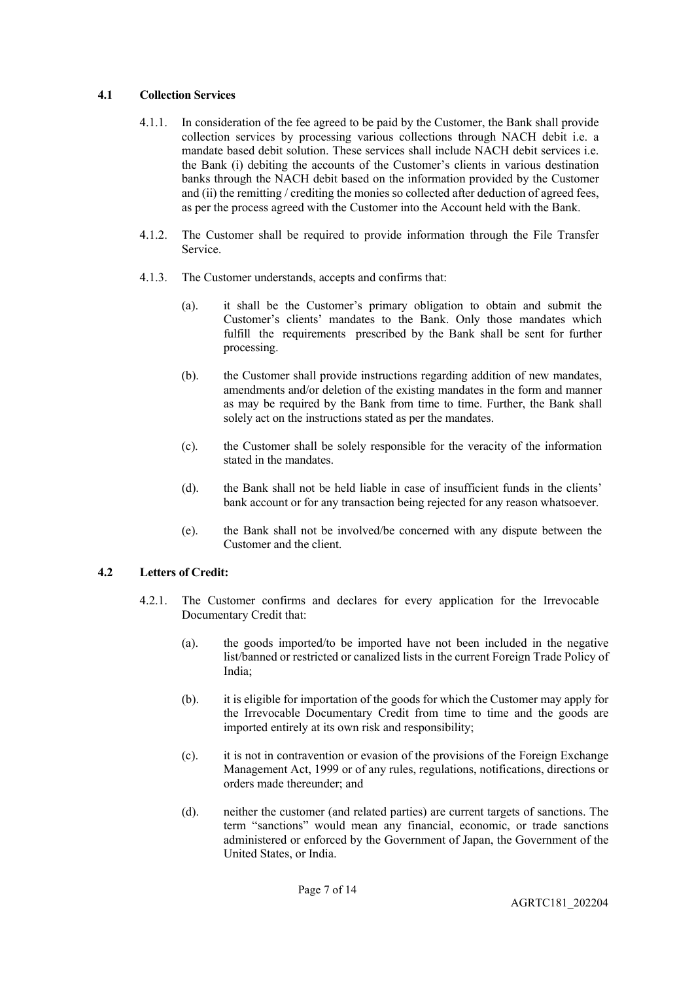### **4.1 Collection Services**

- 4.1.1. In consideration of the fee agreed to be paid by the Customer, the Bank shall provide collection services by processing various collections through NACH debit i.e. a mandate based debit solution. These services shall include NACH debit services i.e. the Bank (i) debiting the accounts of the Customer's clients in various destination banks through the NACH debit based on the information provided by the Customer and (ii) the remitting / crediting the monies so collected after deduction of agreed fees, as per the process agreed with the Customer into the Account held with the Bank.
- 4.1.2. The Customer shall be required to provide information through the File Transfer Service.
- 4.1.3. The Customer understands, accepts and confirms that:
	- (a). it shall be the Customer's primary obligation to obtain and submit the Customer's clients' mandates to the Bank. Only those mandates which fulfill the requirements prescribed by the Bank shall be sent for further processing.
	- (b). the Customer shall provide instructions regarding addition of new mandates, amendments and/or deletion of the existing mandates in the form and manner as may be required by the Bank from time to time. Further, the Bank shall solely act on the instructions stated as per the mandates.
	- (c). the Customer shall be solely responsible for the veracity of the information stated in the mandates.
	- (d). the Bank shall not be held liable in case of insufficient funds in the clients' bank account or for any transaction being rejected for any reason whatsoever.
	- (e). the Bank shall not be involved/be concerned with any dispute between the Customer and the client.

# **4.2 Letters of Credit:**

- 4.2.1. The Customer confirms and declares for every application for the Irrevocable Documentary Credit that:
	- (a). the goods imported/to be imported have not been included in the negative list/banned or restricted or canalized lists in the current Foreign Trade Policy of India;
	- (b). it is eligible for importation of the goods for which the Customer may apply for the Irrevocable Documentary Credit from time to time and the goods are imported entirely at its own risk and responsibility;
	- (c). it is not in contravention or evasion of the provisions of the Foreign Exchange Management Act, 1999 or of any rules, regulations, notifications, directions or orders made thereunder; and
	- (d). neither the customer (and related parties) are current targets of sanctions. The term "sanctions" would mean any financial, economic, or trade sanctions administered or enforced by the Government of Japan, the Government of the United States, or India.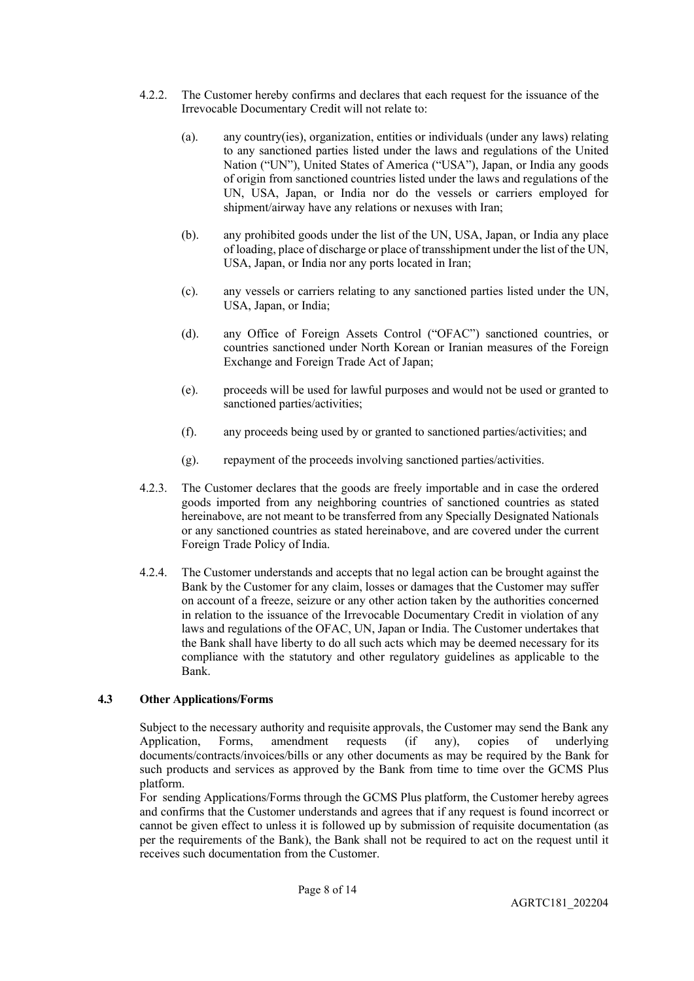- 4.2.2. The Customer hereby confirms and declares that each request for the issuance of the Irrevocable Documentary Credit will not relate to:
	- (a). any country(ies), organization, entities or individuals (under any laws) relating to any sanctioned parties listed under the laws and regulations of the United Nation ("UN"), United States of America ("USA"), Japan, or India any goods of origin from sanctioned countries listed under the laws and regulations of the UN, USA, Japan, or India nor do the vessels or carriers employed for shipment/airway have any relations or nexuses with Iran;
	- (b). any prohibited goods under the list of the UN, USA, Japan, or India any place of loading, place of discharge or place of transshipment under the list of the UN, USA, Japan, or India nor any ports located in Iran;
	- (c). any vessels or carriers relating to any sanctioned parties listed under the UN, USA, Japan, or India;
	- (d). any Office of Foreign Assets Control ("OFAC") sanctioned countries, or countries sanctioned under North Korean or Iranian measures of the Foreign Exchange and Foreign Trade Act of Japan;
	- (e). proceeds will be used for lawful purposes and would not be used or granted to sanctioned parties/activities;
	- (f). any proceeds being used by or granted to sanctioned parties/activities; and
	- (g). repayment of the proceeds involving sanctioned parties/activities.
- 4.2.3. The Customer declares that the goods are freely importable and in case the ordered goods imported from any neighboring countries of sanctioned countries as stated hereinabove, are not meant to be transferred from any Specially Designated Nationals or any sanctioned countries as stated hereinabove, and are covered under the current Foreign Trade Policy of India.
- 4.2.4. The Customer understands and accepts that no legal action can be brought against the Bank by the Customer for any claim, losses or damages that the Customer may suffer on account of a freeze, seizure or any other action taken by the authorities concerned in relation to the issuance of the Irrevocable Documentary Credit in violation of any laws and regulations of the OFAC, UN, Japan or India. The Customer undertakes that the Bank shall have liberty to do all such acts which may be deemed necessary for its compliance with the statutory and other regulatory guidelines as applicable to the Bank.

#### **4.3 Other Applications/Forms**

Subject to the necessary authority and requisite approvals, the Customer may send the Bank any Application, Forms, amendment requests (if any), copies of underlying Application, Forms, amendment requests (if any), copies of underlying documents/contracts/invoices/bills or any other documents as may be required by the Bank for such products and services as approved by the Bank from time to time over the GCMS Plus platform.

For sending Applications/Forms through the GCMS Plus platform, the Customer hereby agrees and confirms that the Customer understands and agrees that if any request is found incorrect or cannot be given effect to unless it is followed up by submission of requisite documentation (as per the requirements of the Bank), the Bank shall not be required to act on the request until it receives such documentation from the Customer.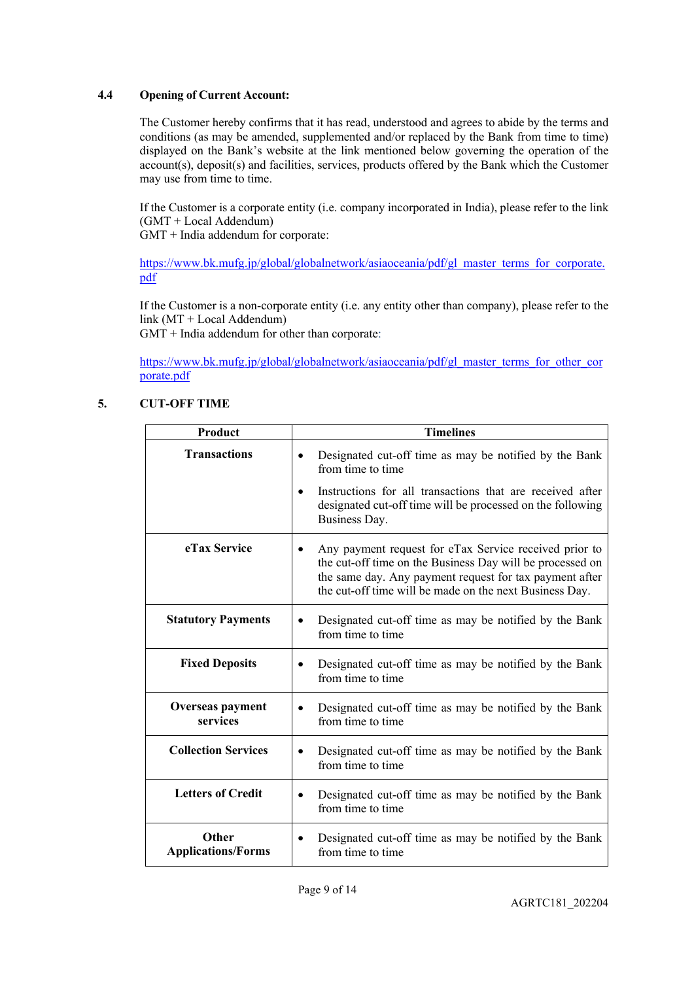### **4.4 Opening of Current Account:**

The Customer hereby confirms that it has read, understood and agrees to abide by the terms and conditions (as may be amended, supplemented and/or replaced by the Bank from time to time) displayed on the Bank's website at the link mentioned below governing the operation of the account(s), deposit(s) and facilities, services, products offered by the Bank which the Customer may use from time to time.

If the Customer is a corporate entity (i.e. company incorporated in India), please refer to the link (GMT + Local Addendum)

GMT + India addendum for corporate:

[https://www.bk.mufg.jp/global/globalnetwork/asiaoceania/pdf/gl\\_master\\_terms\\_for\\_corporate.](https://www.bk.mufg.jp/global/globalnetwork/asiaoceania/pdf/gl_master_terms_for_corporate.pdf) [pdf](https://www.bk.mufg.jp/global/globalnetwork/asiaoceania/pdf/gl_master_terms_for_corporate.pdf)

If the Customer is a non-corporate entity (i.e. any entity other than company), please refer to the link (MT + Local Addendum)

GMT + India addendum for other than corporate:

[https://www.bk.mufg.jp/global/globalnetwork/asiaoceania/pdf/gl\\_master\\_terms\\_for\\_other\\_cor](https://www.bk.mufg.jp/global/globalnetwork/asiaoceania/pdf/gl_master_terms_for_other_corporate.pdf) [porate.pdf](https://www.bk.mufg.jp/global/globalnetwork/asiaoceania/pdf/gl_master_terms_for_other_corporate.pdf)

# **5. CUT-OFF TIME**

| <b>Product</b>                      | <b>Timelines</b>                                                                                                                                                                                                                          |
|-------------------------------------|-------------------------------------------------------------------------------------------------------------------------------------------------------------------------------------------------------------------------------------------|
| <b>Transactions</b>                 | Designated cut-off time as may be notified by the Bank<br>$\bullet$<br>from time to time                                                                                                                                                  |
|                                     | Instructions for all transactions that are received after<br>designated cut-off time will be processed on the following<br>Business Day.                                                                                                  |
| eTax Service                        | Any payment request for eTax Service received prior to<br>the cut-off time on the Business Day will be processed on<br>the same day. Any payment request for tax payment after<br>the cut-off time will be made on the next Business Day. |
| <b>Statutory Payments</b>           | Designated cut-off time as may be notified by the Bank<br>٠<br>from time to time                                                                                                                                                          |
| <b>Fixed Deposits</b>               | Designated cut-off time as may be notified by the Bank<br>from time to time                                                                                                                                                               |
| <b>Overseas payment</b><br>services | Designated cut-off time as may be notified by the Bank<br>$\bullet$<br>from time to time                                                                                                                                                  |
| <b>Collection Services</b>          | Designated cut-off time as may be notified by the Bank<br>$\bullet$<br>from time to time                                                                                                                                                  |
| <b>Letters of Credit</b>            | Designated cut-off time as may be notified by the Bank<br>from time to time                                                                                                                                                               |
| Other<br><b>Applications/Forms</b>  | Designated cut-off time as may be notified by the Bank<br>٠<br>from time to time                                                                                                                                                          |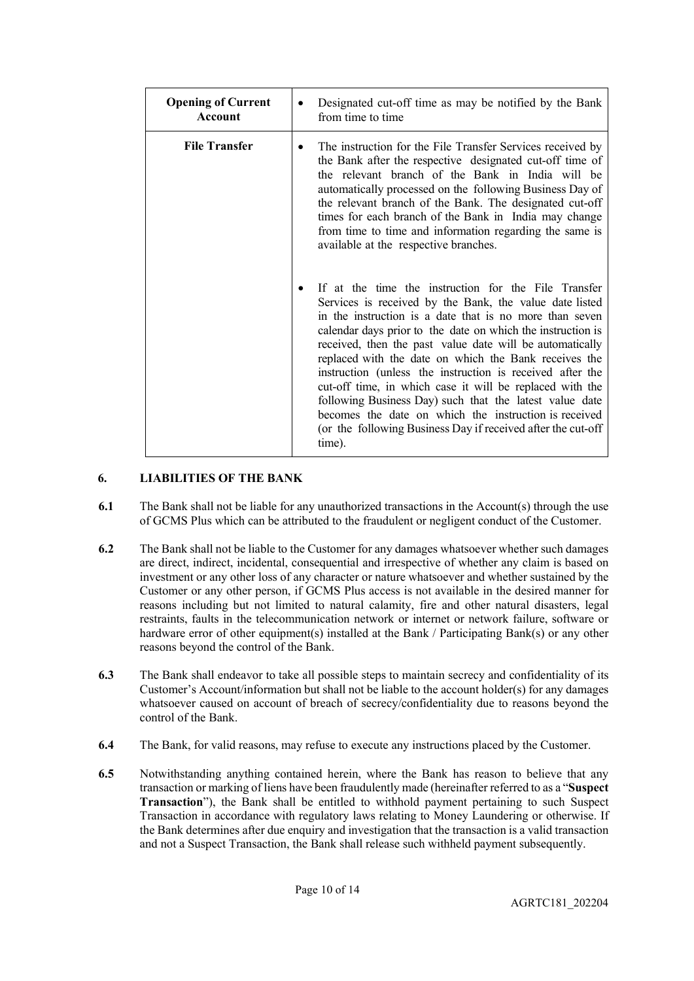| <b>Opening of Current</b><br>Account | Designated cut-off time as may be notified by the Bank<br>٠<br>from time to time                                                                                                                                                                                                                                                                                                                                                                                                                                                                                                                                                                                                           |
|--------------------------------------|--------------------------------------------------------------------------------------------------------------------------------------------------------------------------------------------------------------------------------------------------------------------------------------------------------------------------------------------------------------------------------------------------------------------------------------------------------------------------------------------------------------------------------------------------------------------------------------------------------------------------------------------------------------------------------------------|
| <b>File Transfer</b>                 | The instruction for the File Transfer Services received by<br>the Bank after the respective designated cut-off time of<br>the relevant branch of the Bank in India will be<br>automatically processed on the following Business Day of<br>the relevant branch of the Bank. The designated cut-off<br>times for each branch of the Bank in India may change<br>from time to time and information regarding the same is<br>available at the respective branches.                                                                                                                                                                                                                             |
|                                      | If at the time the instruction for the File Transfer<br>٠<br>Services is received by the Bank, the value date listed<br>in the instruction is a date that is no more than seven<br>calendar days prior to the date on which the instruction is<br>received, then the past value date will be automatically<br>replaced with the date on which the Bank receives the<br>instruction (unless the instruction is received after the<br>cut-off time, in which case it will be replaced with the<br>following Business Day) such that the latest value date<br>becomes the date on which the instruction is received<br>(or the following Business Day if received after the cut-off<br>time). |

# **6. LIABILITIES OF THE BANK**

- **6.1** The Bank shall not be liable for any unauthorized transactions in the Account(s) through the use of GCMS Plus which can be attributed to the fraudulent or negligent conduct of the Customer.
- **6.2** The Bank shall not be liable to the Customer for any damages whatsoever whether such damages are direct, indirect, incidental, consequential and irrespective of whether any claim is based on investment or any other loss of any character or nature whatsoever and whether sustained by the Customer or any other person, if GCMS Plus access is not available in the desired manner for reasons including but not limited to natural calamity, fire and other natural disasters, legal restraints, faults in the telecommunication network or internet or network failure, software or hardware error of other equipment(s) installed at the Bank / Participating Bank(s) or any other reasons beyond the control of the Bank.
- **6.3** The Bank shall endeavor to take all possible steps to maintain secrecy and confidentiality of its Customer's Account/information but shall not be liable to the account holder(s) for any damages whatsoever caused on account of breach of secrecy/confidentiality due to reasons beyond the control of the Bank.
- **6.4** The Bank, for valid reasons, may refuse to execute any instructions placed by the Customer.
- **6.5** Notwithstanding anything contained herein, where the Bank has reason to believe that any transaction or marking of liens have been fraudulently made (hereinafter referred to as a "**Suspect Transaction**"), the Bank shall be entitled to withhold payment pertaining to such Suspect Transaction in accordance with regulatory laws relating to Money Laundering or otherwise. If the Bank determines after due enquiry and investigation that the transaction is a valid transaction and not a Suspect Transaction, the Bank shall release such withheld payment subsequently.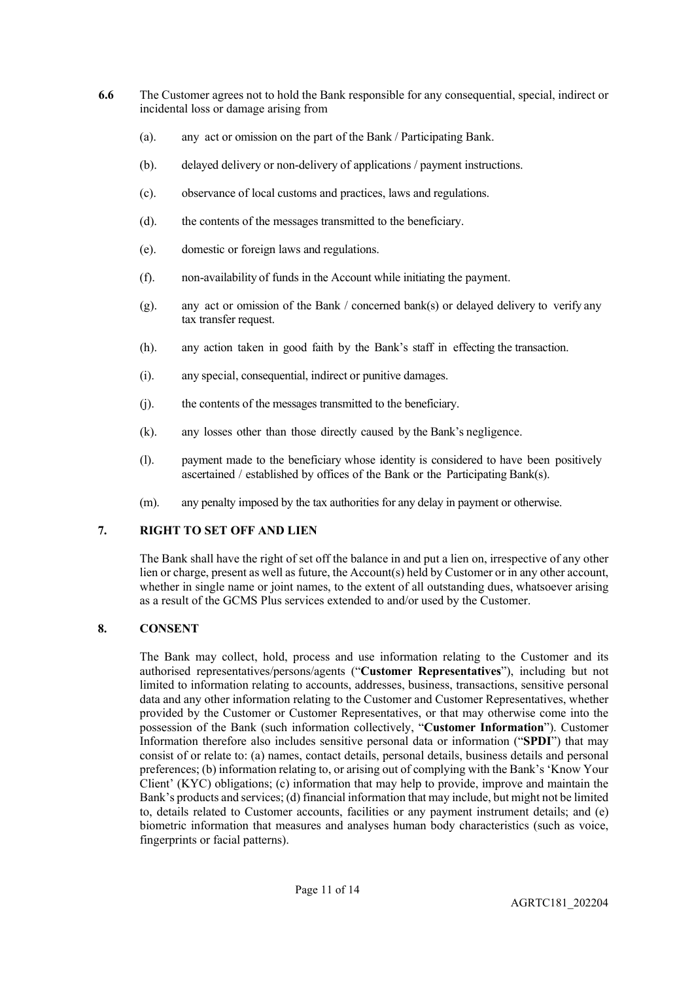- **6.6** The Customer agrees not to hold the Bank responsible for any consequential, special, indirect or incidental loss or damage arising from
	- (a). any act or omission on the part of the Bank / Participating Bank.
	- (b). delayed delivery or non-delivery of applications / payment instructions.
	- (c). observance of local customs and practices, laws and regulations.
	- (d). the contents of the messages transmitted to the beneficiary.
	- (e). domestic or foreign laws and regulations.
	- (f). non-availability of funds in the Account while initiating the payment.
	- (g). any act or omission of the Bank / concerned bank(s) or delayed delivery to verify any tax transfer request.
	- (h). any action taken in good faith by the Bank's staff in effecting the transaction.
	- (i). any special, consequential, indirect or punitive damages.
	- (j). the contents of the messages transmitted to the beneficiary.
	- (k). any losses other than those directly caused by the Bank's negligence.
	- (l). payment made to the beneficiary whose identity is considered to have been positively ascertained / established by offices of the Bank or the Participating Bank(s).
	- (m). any penalty imposed by the tax authorities for any delay in payment or otherwise.

# **7. RIGHT TO SET OFF AND LIEN**

The Bank shall have the right of set off the balance in and put a lien on, irrespective of any other lien or charge, present as well as future, the Account(s) held by Customer or in any other account, whether in single name or joint names, to the extent of all outstanding dues, whatsoever arising as a result of the GCMS Plus services extended to and/or used by the Customer.

# **8. CONSENT**

The Bank may collect, hold, process and use information relating to the Customer and its authorised representatives/persons/agents ("**Customer Representatives**"), including but not limited to information relating to accounts, addresses, business, transactions, sensitive personal data and any other information relating to the Customer and Customer Representatives, whether provided by the Customer or Customer Representatives, or that may otherwise come into the possession of the Bank (such information collectively, "**Customer Information**"). Customer Information therefore also includes sensitive personal data or information ("**SPDI**") that may consist of or relate to: (a) names, contact details, personal details, business details and personal preferences; (b) information relating to, or arising out of complying with the Bank's 'Know Your Client' (KYC) obligations; (c) information that may help to provide, improve and maintain the Bank's products and services; (d) financial information that may include, but might not be limited to, details related to Customer accounts, facilities or any payment instrument details; and (e) biometric information that measures and analyses human body characteristics (such as voice, fingerprints or facial patterns).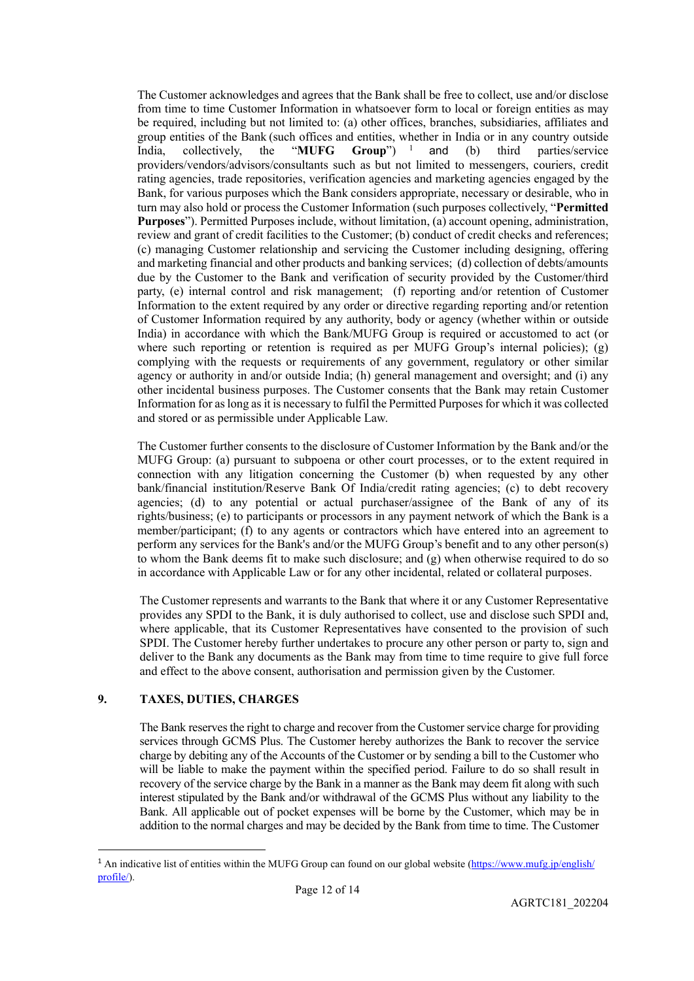The Customer acknowledges and agrees that the Bank shall be free to collect, use and/or disclose from time to time Customer Information in whatsoever form to local or foreign entities as may be required, including but not limited to: (a) other offices, branches, subsidiaries, affiliates and group entities of the Bank (such offices and entities, whether in India or in any country outside India. collectively, the "MUFG Group") <sup>1</sup> and (b) third parties/service India, collectively, the "**MUFG Group**")<sup>[1](#page-11-0)</sup>  $(b)$  third parties/service providers/vendors/advisors/consultants such as but not limited to messengers, couriers, credit rating agencies, trade repositories, verification agencies and marketing agencies engaged by the Bank, for various purposes which the Bank considers appropriate, necessary or desirable, who in turn may also hold or process the Customer Information (such purposes collectively, "**Permitted Purposes**"). Permitted Purposes include, without limitation, (a) account opening, administration, review and grant of credit facilities to the Customer; (b) conduct of credit checks and references; (c) managing Customer relationship and servicing the Customer including designing, offering and marketing financial and other products and banking services; (d) collection of debts/amounts due by the Customer to the Bank and verification of security provided by the Customer/third party, (e) internal control and risk management; (f) reporting and/or retention of Customer Information to the extent required by any order or directive regarding reporting and/or retention of Customer Information required by any authority, body or agency (whether within or outside India) in accordance with which the Bank/MUFG Group is required or accustomed to act (or where such reporting or retention is required as per MUFG Group's internal policies); (g) complying with the requests or requirements of any government, regulatory or other similar agency or authority in and/or outside India; (h) general management and oversight; and (i) any other incidental business purposes. The Customer consents that the Bank may retain Customer Information for as long as it is necessary to fulfil the Permitted Purposes for which it was collected and stored or as permissible under Applicable Law.

The Customer further consents to the disclosure of Customer Information by the Bank and/or the MUFG Group: (a) pursuant to subpoena or other court processes, or to the extent required in connection with any litigation concerning the Customer (b) when requested by any other bank/financial institution/Reserve Bank Of India/credit rating agencies; (c) to debt recovery agencies; (d) to any potential or actual purchaser/assignee of the Bank of any of its rights/business; (e) to participants or processors in any payment network of which the Bank is a member/participant; (f) to any agents or contractors which have entered into an agreement to perform any services for the Bank's and/or the MUFG Group's benefit and to any other person(s) to whom the Bank deems fit to make such disclosure; and  $(g)$  when otherwise required to do so in accordance with Applicable Law or for any other incidental, related or collateral purposes.

The Customer represents and warrants to the Bank that where it or any Customer Representative provides any SPDI to the Bank, it is duly authorised to collect, use and disclose such SPDI and, where applicable, that its Customer Representatives have consented to the provision of such SPDI. The Customer hereby further undertakes to procure any other person or party to, sign and deliver to the Bank any documents as the Bank may from time to time require to give full force and effect to the above consent, authorisation and permission given by the Customer.

# **9. TAXES, DUTIES, CHARGES**

The Bank reserves the right to charge and recover from the Customer service charge for providing services through GCMS Plus. The Customer hereby authorizes the Bank to recover the service charge by debiting any of the Accounts of the Customer or by sending a bill to the Customer who will be liable to make the payment within the specified period. Failure to do so shall result in recovery of the service charge by the Bank in a manner as the Bank may deem fit along with such interest stipulated by the Bank and/or withdrawal of the GCMS Plus without any liability to the Bank. All applicable out of pocket expenses will be borne by the Customer, which may be in addition to the normal charges and may be decided by the Bank from time to time. The Customer

<span id="page-11-0"></span><sup>&</sup>lt;sup>1</sup> An indicative list of entities within the MUFG Group can found on our global website [\(https://www.mufg.jp/english/](https://www.mufg.jp/english/) profile/).